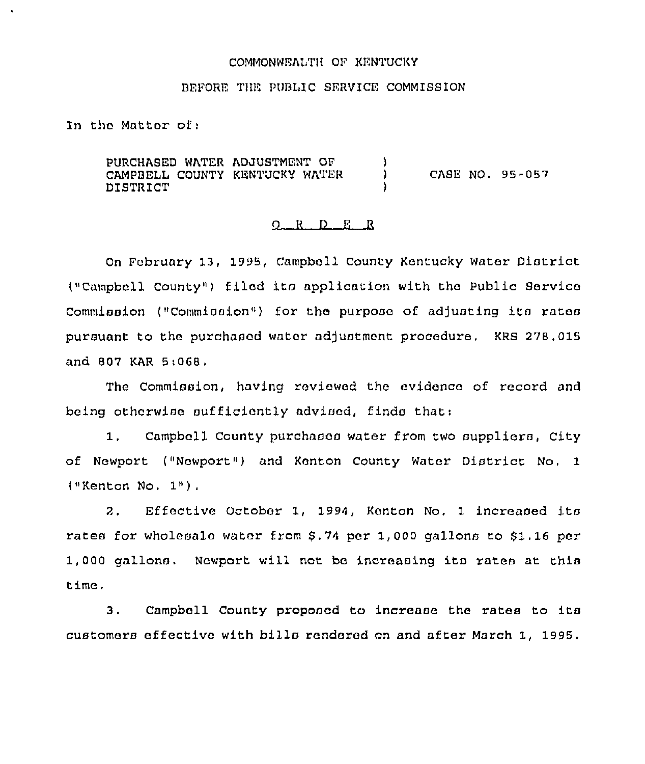#### COMMONWEALTH OP KENTUCKY

# BEPORE THE PUBLIC SERVICE COMMISSION

In tho Matter of;

PURCHASED WATER ADJUSTMENT OP CAMPBELL COUNTY KENTUCKY WATER DISTRICT )<br>) } CASE NO. 95-057 )

### <sup>R</sup> () E R

On Pebruary 13, 1995, Campbell County Kentucky Water District ("Campbell County") filed its application with the Public Service Commission ("Commission") for the purpose of adjusting its rates pursuant to the purchasod water adjustment procedure. KRS 278. 015 and 807 KAR 5:068,

The Commission, having reviewed the evidence of record and being otherwise sufficiently advised, finds that:

1. Campbell County purchases water from two suppliers, City of Newport ("Newport") and Kenton County Water District No, <sup>1</sup> ("Kenton No. 1").

2. Effective October 1, 1994, Kenton No, <sup>1</sup> increased its rates for wholesale water from \$.74 per 1,000 gallons to \$1.16 per 1,000 gallons. Newport will not be increasing its rates at this time.

3. Campbell County proposed to increase the rates to its customers effective with bills rendered on and after March 1, 1995.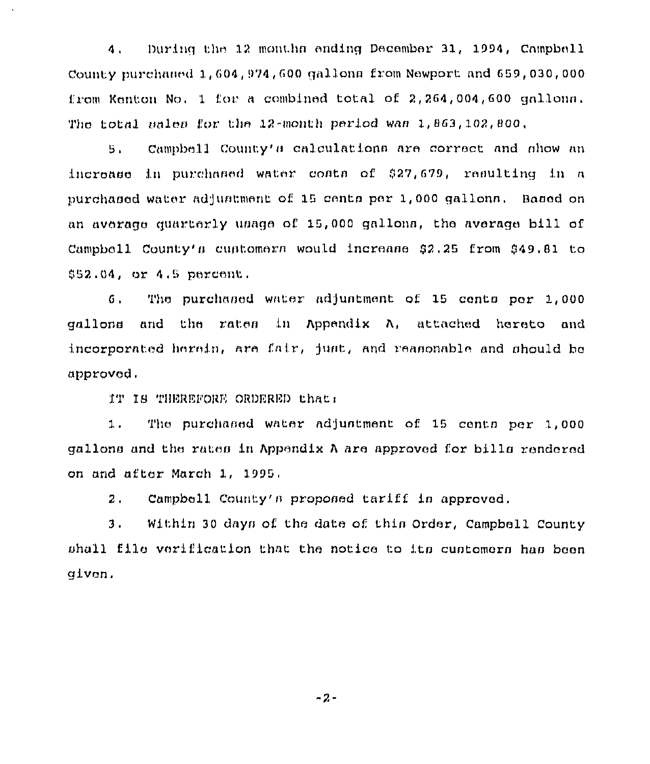During the 12 months ending December 31, 1994. Campbell  $\mathbf{A}$ County purchaned 1.604.974.600 gallons from Newport and 659.030.000 from Kenton No. 1 for a combined total of 2.264.004.600 gallona. The total nales for the 12-month period was 1.863.102.800.

Campbell County's calculations are correct and show an  $5.$ increase in purchased water costs of \$27,679, resulting in a purchaned water adjustment of 15 cents per 1,000 gallons. Based on an average quarterly usage of 15,000 gallons, the average bill of Campbell County's customers would increase \$2.25 from \$49.81 to  $$52.04.$  or  $4.5$  parcent.

The purchased water adjustment of 15 cents per 1,000  $6.$ gallons and the rates in Appendix A, attached hereto and incorporated herein, are fair, just, and reasonable and should be approved.

IT IS THEREFORE ORDERED that:

The purchased water adjustment of 15 cents per 1.000  $1.$ gallons and the rates in Appendix A are approved for bills rendered on and after March 1, 1995.

Campbell County's proposed tariff is approved.  $2.$ 

 $3.$ Within 30 days of the date of this Order, Campbell County shall file verification that the notice to its customers has been given.

 $-2-$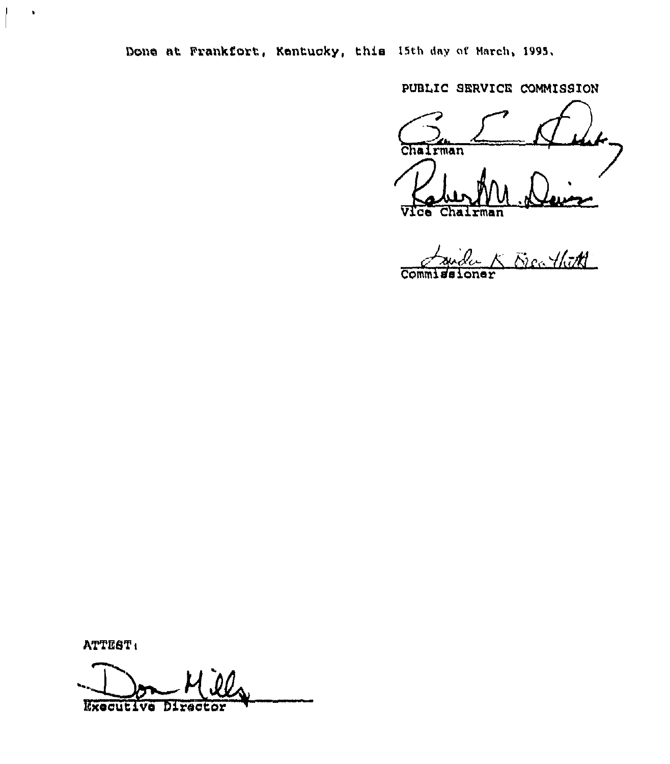Done at Frankfort, Kentucky, this I5th day of March, 1995.

PUBLIC SERVICE COMMISSION

Chairman Chairman c.

India<br>L K Elec ThitA  $\overline{\text{Comm}}$ 

ATTEST:

 $\bullet$ 

Executive Director